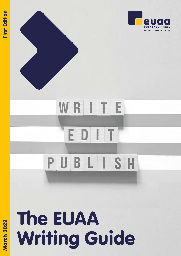

# The EUAA Writing Guide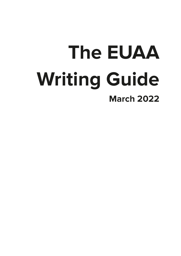## **The EUAA Writing Guide March 2022**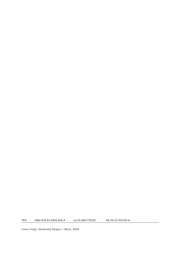PDF ISBN 978-92-9465-836-4 doi:10.2847/73035 BZ-06-22-105-EN-N

Cover image, Vasilevskiy Sergey © iStock, 2020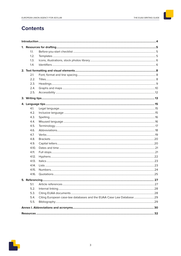## **Contents**

| 1.1.  |                                                                     |  |
|-------|---------------------------------------------------------------------|--|
| 1.2.  |                                                                     |  |
| 1.3.  |                                                                     |  |
| 1.4.  |                                                                     |  |
|       |                                                                     |  |
| 2.1.  |                                                                     |  |
| 2.2.  |                                                                     |  |
| 2.3.  |                                                                     |  |
| 2.4.  |                                                                     |  |
| 2.5.  |                                                                     |  |
|       |                                                                     |  |
|       |                                                                     |  |
| 4.1.  |                                                                     |  |
| 4.2.  |                                                                     |  |
| 4.3.  |                                                                     |  |
| 4.4.  |                                                                     |  |
| 4.5.  |                                                                     |  |
| 4.6.  |                                                                     |  |
| 4.7.  |                                                                     |  |
| 4.8.  |                                                                     |  |
| 4.9.  |                                                                     |  |
| 4.10. |                                                                     |  |
| 4.11. |                                                                     |  |
| 4.12. |                                                                     |  |
| 4.13. |                                                                     |  |
| 4.14. |                                                                     |  |
| 4.15. |                                                                     |  |
| 4.16. |                                                                     |  |
|       |                                                                     |  |
|       |                                                                     |  |
| 5.1   |                                                                     |  |
| 5.2.  |                                                                     |  |
| 5.3.  |                                                                     |  |
| 5.4.  | Citing European case-law databases and the EUAA Case Law Database29 |  |
| 5.5.  |                                                                     |  |
|       |                                                                     |  |
|       |                                                                     |  |

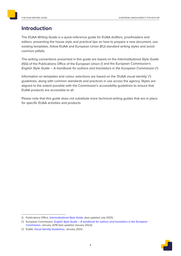## <span id="page-5-0"></span>**Introduction**

The EUAA Writing Guide is a quick-reference guide for EUAA drafters, proofreaders and editors, presenting the house style and practical tips on how to prepare a new document, use existing templates, follow EUAA and European Union (EU) standard writing styles and avoid common pitfalls.

<span id="page-5-1"></span>The writing conventions presented in this guide are based on the Interinstitutional Style Guide (ISG) of the Publications Office of the European Union (<sup>1</sup>) and the European Commission's English Style Guide – A handbook for authors and translators in the European Commission (2).

Information on templates and colour selections are based on the 'EUAA visual identity'  $(3)$ guidelines, along with common standards and practices in use across the agency. Styles are aligned to the extent possible with the Commission's accessibility guidelines to ensure that EUAA products are accessible to all.

Please note that this guide does not substitute more technical writing guides that are in place for specific EUAA activities and products.

<span id="page-5-2"></span>

<sup>(&</sup>lt;sup>1</sup>) Publications Office, [Interinstitutional Style Guide](http://publications.europa.eu/code/en/en-000500.htm), (last updated July 2021).

<sup>(&</sup>lt;sup>2</sup>) European Commission, [English Style Guide – A handbook for authors and translators in the European](https://ec.europa.eu/info/sites/info/files/styleguide_english_dgt_en.pdf) [Commission](https://ec.europa.eu/info/sites/info/files/styleguide_english_dgt_en.pdf), January 2016 (last updated January 2022).

<sup>(3)</sup> EUAA, *[Visual Identity Guidelines](https://euaa.europa.eu/sites/default/files/2022-01/EUAA-Visual_Guidelines.pdf)*, January 2022.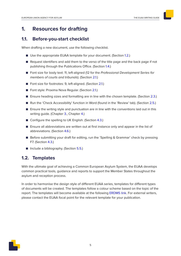## <span id="page-6-0"></span>**1. Resources for drafting**

## **1.1. Before-you-start checklist**

When drafting a new document, use the following checklist.

- Use the appropriate EUAA template for your document. (Section [1.2.](#page-6-1))
- Request identifiers and add them to the verso of the title page and the back page if not publishing through the Publications Office. (Section [1.4.](#page-7-1))
- Font size for body text: 11, left-aligned (12 for the Professional Development Series for members of courts and tribunals). (Section [2.1.\)](#page-9-1)
- Font size for footnotes: 9, left-aligned. (Section [2.1.\)](#page-9-1)
- Font style: Proxima Nova Regular. (Section [2.1.](#page-9-1))
- Ensure heading sizes and formatting are in line with the chosen template. (Section [2.3.](#page-10-1))
- Run the 'Check Accessibility' function in Word (found in the 'Review' tab). (Section [2.5.](#page-13-1))
- Ensure the writing style and punctuation are in line with the conventions laid out in this writing guide. (Chapter [3.,](#page-14-1) Chapter [4.](#page-16-1))
- Configure the spelling to UK English. (Section [4.3.\)](#page-17-1)
- Ensure all abbreviations are written out at first instance only and appear in the list of abbreviations. (Section [4.6.\)](#page-19-1)
- Before submitting your draft for editing, run the 'Spelling & Grammar' check by pressing F7. (Section [4.3.](#page-17-1))
- <span id="page-6-1"></span>■ Include a bibliography. (Section [5.5.](#page-30-1))

## **1.2. Templates**

With the ultimate goal of achieving a Common European Asylum System, the EUAA develops common practical tools, guidance and reports to support the Member States throughout the asylum and reception process.

In order to harmonise the design style of different EUAA series, templates for different types of documents will be created. The templates follow a colour scheme based on the topic of the report. The templates will become available at the following [ERDMS link](https://easo.sharepoint.com/sites/cpr/VisualIdentity/?newTargetListUrl=%2Fsites%2Fcpr%2FVisualIdentity&id=%2Fsites%2Fcpr%2FVisualIdentity%2FPublications Template&viewid=d126ad00%2D581d%2D41c4%2Dbf2c%2D39fdd728c0bc). For external writers, please contact the EUAA focal point for the relevant template for your publication.

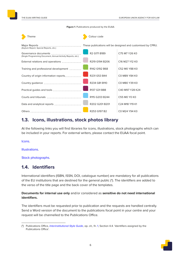Figure 1. Publications produced by the EUAA

<span id="page-7-0"></span>

| Theme                                                                                              | Colour code                                      |                                                                |
|----------------------------------------------------------------------------------------------------|--------------------------------------------------|----------------------------------------------------------------|
| Major Reports ______________________________<br>(Asylum Report, Special Reports, etc.)             |                                                  | These publications will be designed and customised by CPRU.    |
| Governance documents _____________<br>(Single Programming Document, Annual Activity Reports, etc.) | R <sub>2</sub> G <sub>171</sub> B <sub>189</sub> | C75 M7 Y26 K0                                                  |
| External relations and operations ____________                                                     | R219 G194 B206                                   | C16 M27 Y12 K0                                                 |
| Training and professional development ________                                                     | R142 G192 B68                                    | C52 M0 Y88 K0                                                  |
| Country of origin information reports__________                                                    | R231 G53 B44                                     | C0 M89 Y84 K0                                                  |
|                                                                                                    | R234 G81 B110                                    | CO M80 Y39 KO                                                  |
|                                                                                                    | R137 G31 B88                                     | C40 M97 Y28 K24                                                |
|                                                                                                    | R115 G203 B244                                   | C55 MO YO KO                                                   |
| Data and analytical reports __________________                                                     | R202 G201 B201                                   | C <sub>24</sub> M <sub>18</sub> Y <sub>19</sub> K <sub>1</sub> |
|                                                                                                    | R253 G197 B2                                     | CO M24 Y94 KO                                                  |

## 1.3. Icons, illustrations, stock photos library

At the following links you will find libraries for icons, illustrations, stock photographs which can be included in your reports. For external writers, please contact the EUAA focal point.

Icons.

Illustrations.

Stock photographs.

## <span id="page-7-1"></span>1.4. Identifiers

International identifiers (ISBN, ISSN, DOI, catalogue number) are mandatory for all publications of the EU institutions that are destined for the general public (4). The identifiers are added to the verso of the title page and the back cover of the templates.

Documents for internal use only and/or considered as sensitive do not need international identifiers.

The identifiers must be requested prior to publication and the requests are handled centrally. Send a Word version of the document to the publications focal point in your centre and your request will be channelled to the Publications Office.



<sup>(4)</sup> Publications Office, Interinstitutional Style Guide, op. cit., fn. 1, Section 4.4. 'Identifiers assigned by the Publications Office'.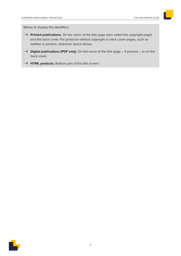Where to display the identifiers.

- → **Printed publications.** On the verso of the title page (also called the copyright page) and the back cover. For products without copyright or back cover pages, such as leaflets or posters, wherever space allows.
- $\rightarrow$  **Digital publications (PDF only).** On the verso of the title page if present or on the back cover.
- $\rightarrow$  **HTML products.** Bottom part of the title screen.

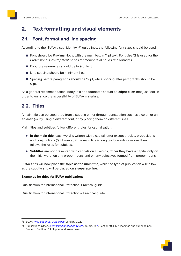## <span id="page-9-0"></span>**2. Text formatting and visual elements**

## <span id="page-9-1"></span>**2.1. Font, format and line spacing**

According to the 'EUAA visual identity' (5) guidelines, the following font sizes should be used.

- Font should be Proxima Nova, with the main text in 11 pt text. Font size 12 is used for the Professional Development Series for members of courts and tribunals.
- Footnote references should be in 9 pt text.
- Line spacing should be minimum 1 pt.
- Spacing before paragraphs should be 12 pt, while spacing after paragraphs should be 0 pt.

As a general recommendation, body text and footnotes should be **aligned left** (not justified), in order to enhance the accessibility of EUAA materials.

## **2.2. Titles**

A main title can be separated from a subtitle either through punctuation such as a colon or an en dash (–), by using a different font, or by placing them on different lines.

Main titles and subtitles follow different rules for capitalisation.

- ► In the main title, each word is written with a capital letter except articles, prepositions and conjunctions  $(6)$ . However, if the main title is long  $(9-10$  words or more), then it follows the rules for subtitles.
- ▶ Subtitles are not presented with capitals on all words, rather they have a capital only on the initial word, on any proper nouns and on any adjectives formed from proper nouns.

EUAA titles will now place the **topic as the main title**, while the type of publication will follow as the subtitle and will be placed on a **separate line**.

#### **Examples for titles for EUAA publications**

Qualification for International Protection: Practical guide

Qualification for International Protection – Practical guide

<sup>(&</sup>lt;sup>6</sup>) Publications Office, *[Interinstitutional Style Guide](http://publications.europa.eu/code/en/en-240400.htm)*, op. cit., fn. [1](#page-5-1), Section 10.4.(h) 'Headings and subheadings'. See also Section 10.4. '[Upper and lower case'](https://publications.europa.eu/code/en/en-4100400en.htm).



<sup>(5)</sup> EUAA, *[Visual Identity Guidelines](https://euaa.europa.eu/sites/default/files/2022-01/EUAA-Visual_Guidelines.pdf)*, January 2022.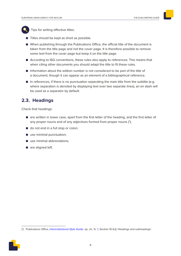<span id="page-10-0"></span>

Tips for writing effective titles:

- Titles should be kept as short as possible.
- When publishing through the Publications Office, the official title of the document is taken from the title page and not the cover page. It is therefore possible to remove some text from the cover page but keep it on the title page.
- According to ISG conventions, these rules also apply to references. This means that when citing other documents you should adapt the title to fit these rules.
- Information about the edition number is not considered to be part of the title of a document, though it can appear as an element of a bibliographical reference.
- In references, if there is no punctuation separating the main title from the subtitle (e.g. where separation is denoted by displaying text over two separate lines), an en dash will be used as a separator by default.

## <span id="page-10-1"></span>**2.3. Headings**

Check that headings:

- are written in lower case, apart from the first letter of the heading, and the first letter of any proper nouns and of any adjectives formed from proper nouns  $(');$
- do not end in a full stop or colon;
- use minimal punctuation;
- use minimal abbreviations;
- are aligned left.

<sup>(7)</sup> Publications Office, [Interinstitutional Style Guide](http://publications.europa.eu/code/en/en-240400.htm), op. cit., fn. [1](#page-5-1), Section 10.4.(i) 'Headings and subheadings'.

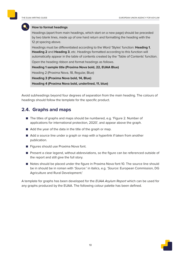<span id="page-11-0"></span>

#### **How to format headings**

Headings (apart from main headings, which start on a new page) should be preceded by two blank lines, made up of one hard return and formatting the heading with the 12 pt spacing above.

Headings must be differentiated according to the Word 'Styles' function: **Heading 1**, **Heading 2** and **Heading 3**, etc. Headings formatted according to this function will automatically appear in the table of contents created by the 'Table of Contents' function. Open the heading ribbon and format headings as follows.

**Heading 1 sample title (Proxima Nova bold, 22, EUAA Blue)**

Heading 2 (Proxima Nova, 18, Regular, Blue)

**Heading 3 (Proxima Nova bold, 14, Blue)**

**Heading 4 (Proxima Nova bold, underlined, 11, blue)**

Avoid subheadings beyond four degrees of separation from the main heading. The colours of headings should follow the template for the specific product.

## **2.4. Graphs and maps**

- The titles of graphs and maps should be numbered, e.g. 'Figure 2. Number of applications for international protection, 2020', and appear above the graph.
- Add the year of the data in the title of the graph or map.
- Add a source line under a graph or map with a hyperlink if taken from another publication.
- Figures should use Proxima Nova font.
- Present a clear legend, without abbreviations, so the figure can be referenced outside of the report and still give the full story.
- Notes should be placed under the figure in Proxima Nova font 10. The source line should be in should be in roman with 'Source:' in italics, e.g. 'Source: European Commission, DG Agriculture and Rural Development.'

A template for graphs has been developed for the EUAA Asylum Report which can be used for any graphs produced by the EUAA. The following colour palette has been defined.

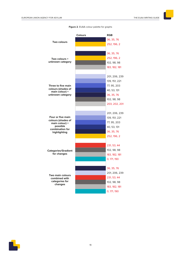|                                           | Colours | <b>RGB</b>                  |
|-------------------------------------------|---------|-----------------------------|
| Two colours                               |         | 36, 35, 76                  |
|                                           |         | 252, 196, 2                 |
|                                           |         |                             |
|                                           |         | 36, 35, 76                  |
| Two colours +                             |         | 252, 196, 2                 |
| unknown category                          |         | 102, 98, 98                 |
|                                           |         | 183, 182, 181               |
|                                           |         |                             |
|                                           |         | 201, 206, 239               |
|                                           |         | 139, 151, 221               |
| Three to five main                        |         | 77, 95, 203                 |
| colours (shades of<br>main colour) +      |         | 40, 53, 131                 |
| unknown category                          |         | 36, 35, 76                  |
|                                           |         | 102, 98, 98                 |
|                                           |         | 203, 202, 201               |
|                                           |         |                             |
|                                           |         | 201, 206, 239               |
| Four or five main<br>colours (shades of   |         | 139, 151, 221               |
| main colour) +                            |         | 77, 95, 203                 |
| possible<br>combination for               |         | 40, 53, 131                 |
| highlighting                              |         | 36, 35, 76                  |
|                                           |         | 252, 196, 2                 |
|                                           |         |                             |
|                                           |         | 231, 53, 44                 |
| <b>Categories/Gradient</b><br>for changes |         | 102, 98, 98                 |
|                                           |         | 183, 182, 181               |
|                                           |         | 0, 171, 190                 |
|                                           |         |                             |
|                                           |         | 36, 35, 76<br>201, 206, 239 |
| <b>Two main colours</b>                   |         | 231, 53, 44                 |
| combined with<br>categories for           |         | 102, 98, 98                 |
| changes                                   |         | 183, 182, 181               |
|                                           |         | 0, 171, 190                 |
|                                           |         |                             |

**Figure 2**. EUAA colour palette for graphs

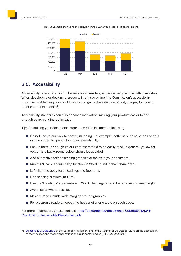

<span id="page-13-0"></span>**Figure 3**. Example chart using two colours from the EUAA visual identity palette for graphs

## <span id="page-13-1"></span>**2.5. Accessibility**

Accessibility refers to removing barriers for all readers, and especially people with disabilities. When developing or designing products in print or online, the Commission's accessibility principles and techniques should be used to guide the selection of text, images, forms and other content elements (8).

Accessibility standards can also enhance indexation, making your product easier to find through search engine optimisation.

Tips for making your documents more accessible include the following:

- Do not use colour only to convey meaning. For example, patterns such as stripes or dots can be added to graphs to enhance readability.
- Ensure there is enough colour contrast for text to be easily read. In general, yellow for text or as a background colour should be avoided.
- Add alternative text describing graphics or tables in your document.
- Run the 'Check Accessibility' function in Word (found in the 'Review' tab).
- Left align the body text, headings and footnotes.
- Line spacing is minimum 1.1 pt.
- Use the 'Headings' style feature in Word. Headings should be concise and meaningful.
- Avoid italics where possible.
- Make sure to include wide margins around graphics.
- For electronic readers, repeat the header of a long table on each page.

For more information, please consult: [https://op.europa.eu/documents/6388565/7101341/](https://op.europa.eu/documents/6388565/7101341/Checklist+for+accessible+Word+files.pdf/) [Checklist+for+accessible+Word+files.pdf/](https://op.europa.eu/documents/6388565/7101341/Checklist+for+accessible+Word+files.pdf/)

<sup>(</sup> 8) [Directive \(EU\) 2016/2102](https://eur-lex.europa.eu/legal-content/EN/TXT/PDF/?uri=CELEX:32016L2102&from=EN) of the European Parliament and of the Council of 26 October 2016 on the accessibility of the websites and mobile applications of public sector bodies (OJ L 327, 2.12.2016).

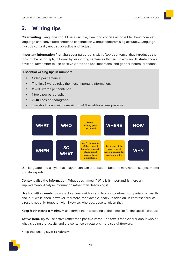## <span id="page-14-1"></span><span id="page-14-0"></span>**3. Writing tips**

**Clear writing.** Language should be as simple, clear and concise as possible. Avoid complex language and convoluted sentence construction without compromising accuracy. Language must be culturally neutral, objective and factual.

**Important information first.** Start your paragraphs with a 'topic sentence' that introduces the topic of the paragraph, followed by supporting sentences that aim to explain, illustrate and/or develop. Remember to use positive words and use impersonal and gender-neutral pronouns.

#### **Essential writing tips in numbers**

- **<sup>1</sup>**idea per sentence.
- The first **7** words relay the most important information.
- **15–20** words per sentence.
- **<sup>1</sup>** topic per paragraph.
- **7–10** lines per paragraph.
- Use short words with a maximum of **3** syllables where possible.



Use language and a style that a layperson can understand. Readers may not be subject-matter or data experts.

**Contextualise the information.** What does it mean? Why is it important? Is there an improvement? Analyse information rather than describing it.

**Use transition words** to connect sentences/ideas and to show contrast, comparison or results: and, but, while, then, however, therefore, for example, finally, in addition, in contrast, thus, as a result, not only, together with, likewise, whereas, despite, given that.

**Keep footnotes to a minimum** and format them according to the template for the specific product.

**Active form.** Try to use active rather than passive verbs. The text is then clearer about who or what is doing the activity and the sentence structure is more straightforward.

Keep the writing style **consistent**.

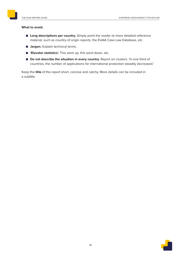#### **What to avoid.**

- Long descriptions per country. Simply point the reader to more detailed reference material, such as country of origin reports, the EUAA Case Law Database, etc.
- **Jargon.** Explain technical terms.
- 'Elevator statistics'. This went up, this went down, etc.
- **Do not describe the situation in every country.** Report on clusters. 'In one third of countries, the number of applications for international protection steadily decreased.'

Keep the **title** of the report short, concise and catchy. More details can be included in a subtitle.

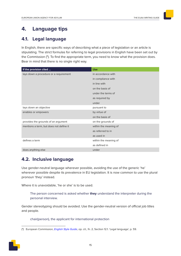## <span id="page-16-1"></span><span id="page-16-0"></span>**4. Language tips**

## **4.1. Legal language**

In English, there are specific ways of describing what a piece of legislation or an article is stipulating. The strict formulas for referring to legal provisions in English have been set out by the Commission (<sup>9</sup> ). To find the appropriate term, you need to know what the provision does. Bear in mind that there is no single right way.

| If the provision cited                  | <b>Use</b>            |
|-----------------------------------------|-----------------------|
| lays down a procedure or a requirement  | in accordance with    |
|                                         | in compliance with    |
|                                         | in line with          |
|                                         | on the basis of       |
|                                         | under the terms of    |
|                                         | as required by        |
|                                         | under                 |
| lays down an objective                  | pursuant to           |
| enables or empowers                     | by virtue of          |
|                                         | on the basis of       |
| provides the grounds of an argument     | on the grounds of     |
| mentions a term, but does not define it | within the meaning of |
|                                         | as referred to in     |
|                                         | as used in            |
| defines a term                          | within the meaning of |
|                                         | as defined in         |
| does anything else                      | under                 |

## **4.2. Inclusive language**

Use gender-neutral language wherever possible, avoiding the use of the generic 'he' wherever possible despite its prevalence in EU legislation. It is now common to use the plural pronoun 'they' instead.

Where it is unavoidable, 'he or she' is to be used.

The person concerned is asked whether **they** understand the interpreter during the personal interview.

Gender stereotyping should be avoided. Use the gender-neutral version of official job titles and people.

chair(person), the applicant for international protection

<sup>(</sup>º) European Commission, *[English Style Guide](https://ec.europa.eu/info/sites/info/files/styleguide_english_dgt_en.pdf)*, op. cit., fn. [2,](#page-5-2) Section 12.1. 'Legal language', p. 59.

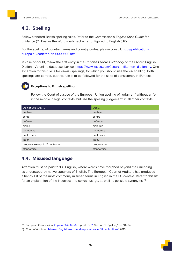## <span id="page-17-1"></span><span id="page-17-0"></span>**4.3. Spelling**

Follow standard British spelling rules. Refer to the Commission's English Style Guide for guidance (<sup>10</sup>). Ensure the Word spellchecker is configured to English (UK).

For the spelling of country names and country codes, please consult: [http://publications.](http://publications.europa.eu/code/en/en-5000600.htm) [europa.eu/code/en/en-5000600.htm](http://publications.europa.eu/code/en/en-5000600.htm)

In case of doubt, follow the first entry in the Concise Oxford Dictionary or the Oxford English Dictionary's online database, Lexico: https://www.lexico.com/?search\_filter=en\_dictionary. One exception to this rule is for -is-/-iz- spellings, for which you should use the -is- spelling. Both spellings are correct, but this rule is to be followed for the sake of consistency in EU texts.



### **Exceptions to British spelling**

Follow the Court of Justice of the European Union spelling of 'judgment' without an 'e' in the middle in legal contexts, but use the spelling 'judgement' in all other contexts.

| Do not use (US)                 | Use         |
|---------------------------------|-------------|
| analyze                         | analyse     |
| center                          | centre      |
| defense                         | defence     |
| dialog                          | dialogue    |
| harmonize                       | harmonise   |
| health care                     | healthcare  |
| labor                           | labour      |
| program (except in IT contexts) | programme   |
| standardize                     | standardise |

## **4.4. Misused language**

<span id="page-17-2"></span>Attention must be paid to 'EU English', where words have morphed beyond their meaning as understood by native speakers of English. The European Court of Auditors has produced a handy list of the most commonly misused terms in English in the EU context. Refer to this list for an explanation of the incorrect and correct usage, as well as possible synonyms (11).



<sup>(&</sup>lt;sup>10</sup>) European Commission, *[English Style Guide](https://ec.europa.eu/info/sites/info/files/styleguide_english_dgt_en.pdf)*, op. cit., fn. [2,](#page-5-2) Section 3. 'Spelling', pp. 18–24.

<sup>(</sup> 11) Court of Auditors, '[Misused English words and expressions in EU publications](https://www.eca.europa.eu/Other publications/EN_TERMINOLOGY_PUBLICATION/EN_TERMINOLOGY_PUBLICATION.pdf)', 2016.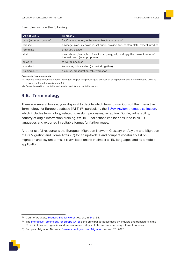#### <span id="page-18-0"></span>Examples include the following.

| Do not use                | To mean                                                                                                                |
|---------------------------|------------------------------------------------------------------------------------------------------------------------|
| case (in case/in case of) | for, if, where, when, in the event that, in the case of                                                                |
| foresee                   | envisage, plan, lay down in, set out in, provide (for), contemplate, expect, predict                                   |
| formulate                 | draw up / devise                                                                                                       |
| shall                     | must, should, is/are, is to / are to, can, may, will, or simply the present tense of<br>the main verb (as appropriate) |
| so as to                  | to (verb), because                                                                                                     |
| so-called                 | known as, this is called (or omit altogether)                                                                          |
| training $(a)$ $(*)$      | a course, presentation, talk, workshop                                                                                 |

#### **Countable / non-countable**

(\*) Training is not a countable noun. Training in English is a process (the process of being trained) and it should not be used as a synonym for a (training) course  $(^{12})$ .

Nb. Fewer is used for countable and less is used for uncountable nouns.

## **4.5. Terminology**

There are several tools at your disposal to decide which term to use. Consult the Interactive Terminology for Europe database (IATE) (<sup>13</sup>), particularly the [EUAA Asylum thematic collection,](https://iate.europa.eu/search/collection/FC1BBC4EE1BB4CB4BA96C7146607554F) which includes terminology related to asylum processes, reception, Dublin, vulnerability, country of origin information, training, etc. IATE collections can be consulted in all EU languages and exported in editable format for further reuse.

Another useful resource is the European Migration Network Glossary on Asylum and Migration of DG Migration and Home Affairs (<sup>14</sup>) for an up-to-date and compact vocabulary list on migration and asylum terms. It is available online in almost all EU languages and as a mobile application.

<sup>(</sup> 14) European Migration Network, [Glossary on Asylum and Migration,](https://ec.europa.eu/home-affairs/networks/european-migration-network-emn/emn-glossary_en) version 7.0, 2020.



<sup>(&</sup>lt;sup>12</sup>) Court of Auditors, '[Misused English words](https://www.eca.europa.eu/Other publications/EN_TERMINOLOGY_PUBLICATION/EN_TERMINOLOGY_PUBLICATION.pdf)', op. cit., fn. [9](#page-17-2), p. 55.

<sup>(&</sup>lt;sup>13</sup>) The [Interactive Terminology for Europe \(IATE\)](https://iate.europa.eu/home) is the principal database used by linguists and translators in the EU institutions and agencies and encompasses millions of EU terms across many different domains.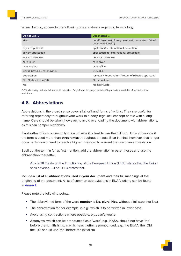<span id="page-19-0"></span>When drafting, adhere to the following dos and don'ts regarding terminology.

| Do not use                   | Use instead                                                                       |
|------------------------------|-----------------------------------------------------------------------------------|
| alien                        | non-EU national / foreign national / non-citizen / third-<br>country national (*) |
| asylum applicant             | applicant (for international protection)                                          |
| asylum application           | application (for international protection)                                        |
| asylum interview             | personal interview                                                                |
| care taker                   | care giver                                                                        |
| case worker                  | case officer                                                                      |
| Covid, Covid-19, coronavirus | COVID-19                                                                          |
| deportation                  | removal / forced return / return of rejected applicant                            |
| EU+ States, in the EU+       | EU+ countries                                                                     |
| <b>MS</b>                    | <b>Member State</b>                                                               |

(\*) Third-country national is incorrect in standard English and its usage outside of legal texts should therefore be kept to a minimum.

## <span id="page-19-1"></span>**4.6. Abbreviations**

Abbreviations in the broad sense cover all shorthand forms of writing. They are useful for referring repeatedly throughout your work to a body, legal act, concept or title with a long name. Care should be taken, however, to avoid overloading the document with abbreviations, as this can hamper readability.

If a shorthand form occurs only once or twice it is best to use the full form. Only abbreviate if the term is used more than **three times** throughout the text. Bear in mind, however, that longer documents would need to reach a higher threshold to warrant the use of an abbreviation.

Spell out the term in full at first mention, add the abbreviation in parentheses and use the abbreviation thereafter.

Article 78 Treaty on the Functioning of the European Union (TFEU) states that the Union shall develop … The TFEU states that …

Include a **list of all abbreviations used in your document** and their full meanings at the beginning of the document. A list of common abbreviations in EUAA writing can be found in [Annex I.](#page-31-1)

Please note the following points.

- The abbreviated form of the word **number** is **No**, **plural Nos**, without a full stop (not No.).
- The abbreviation for 'for example' is e.g., which is to be written in lower case.
- Avoid using contractions where possible, e.g., can't, you're.
- Acronyms, which can be pronounced as a 'word', e.g., NASA, should not have 'the' before them. Initialisms, in which each letter is pronounced, e.g., the EUAA, the IOM, the ILO, should use 'the' before the initialism.

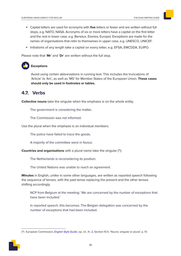- <span id="page-20-0"></span>• Capital letters are used for acronyms with **five** letters or fewer and are written without full stops, e.g. NATO, NASA. Acronyms of six or more letters have a capital on the first letter and the rest in lower case, e.g. Benelux, Eismea, Europol. Exceptions are made for the names of organisations that refer to themselves in upper case, e.g. UNESCO, UNICEF.
- Initialisms of any length take a capital on every letter, e.g. EFSA, EMCDDA, EUIPO.

Please note that '**Mr**' and '**Dr**' are written without the full stop.

## **Exceptions**

Avoid using certain abbreviations in running text. This includes the truncations of 'Article' to 'Art.', as well as 'MS' for Member States of the European Union. **These cases should only be used in footnotes or tables.**

## **4.7. Verbs**

**Collective nouns** take the singular when the emphasis is on the whole entity.

The government is considering the matter.

The Commission was not informed.

Use the plural when the emphasis is on individual members.

The police have failed to trace the goods.

A majority of the committee were in favour.

**Countries and organisations** with a plural name take the singular (<sup>15</sup>).

The Netherlands is reconsidering its position.

The United Nations was unable to reach an agreement.

**Minutes** in English, unlike in some other languages, are written as reported speech following the sequence of tenses, with the past tense replacing the present and the other tenses shifting accordingly.

NCP from Belgium at the meeting: 'We are concerned by the number of exceptions that have been included.'

In reported speech, this becomes: The Belgian delegation was concerned by the number of exceptions that had been included.

<sup>(&</sup>lt;sup>15</sup>) European Commission, *[English Style Guide](https://ec.europa.eu/info/sites/info/files/styleguide_english_dgt_en.pdf)*, op. cit., fn. [2,](#page-5-2) Section 10.5. 'Nouns: singular or plural', p. 51.

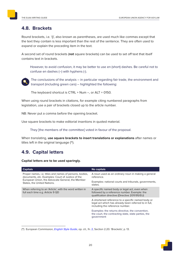## <span id="page-21-1"></span><span id="page-21-0"></span>**4.8. Brackets**

Round brackets, i.e. '()', also known as parentheses, are used much like commas except that the text they contain is less important than the rest of the sentence. They are often used to expand or explain the preceding item in the text.

A second set of round brackets (**not** square brackets) can be used to set off text that itself contains text in brackets.

However, to avoid confusion, it may be better to use en (short) dashes. Be careful not to confuse en dashes (–) with hyphens (-).



The conclusions of the analysis – in particular regarding fair trade, the environment and transport (including green cars) – highlighted the following:

The keyboard shortcut is  $CTRL + Num -$ , or  $ALT + 0150$ .

When using round brackets in citations, for example citing numbered paragraphs from legislation, use a pair of brackets closed up to the article number.

NB: Never put a comma before the opening bracket.

Use square brackets to make editorial insertions in quoted material.

They [the members of the committee] voted in favour of the proposal.

When translating, **use square brackets to insert translations or explanations** after names or titles left in the original language (<sup>16</sup>).

## **4.9. Capital letters**

**Capital letters are to be used sparingly.**

| <b>Capitals</b>                                                                                                     | No capitals                                                                                                                                     |
|---------------------------------------------------------------------------------------------------------------------|-------------------------------------------------------------------------------------------------------------------------------------------------|
| Proper names, <i>i.e.</i> titles and names of persons, bodies,<br>documents, etc. Examples: Court of Justice of the | A noun used as an ordinary noun in making a general<br>reference.                                                                               |
| European Union, the Advocate General, the Member<br>States, the United Nations.                                     | Examples: national courts and tribunals, governments,<br>states.                                                                                |
| When referring to an 'Article', with the word written in<br>full each time e.g. Article 9 QD                        | A specific named body or legal act, even when<br>followed by a reference number. Example: the<br>qualification directive (Directive 2011/95/EU) |
|                                                                                                                     | A shortened reference to a specific named body or<br>legal act which has already been referred to in full,<br>including the reference number.   |
|                                                                                                                     | Examples: the returns directive, the convention,<br>the court, the contracting state, state parties, the<br>government                          |

<sup>(&</sup>lt;sup>16</sup>) European Commission, *[English Style Guide](https://ec.europa.eu/info/sites/info/files/styleguide_english_dgt_en.pdf)*, op. cit., fn. [2,](#page-5-2) Section 2.20. 'Brackets', p. 13.

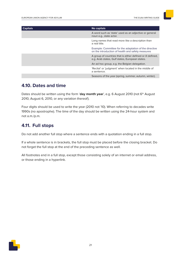<span id="page-22-0"></span>

| <b>Capitals</b> | No capitals                                                                                                    |
|-----------------|----------------------------------------------------------------------------------------------------------------|
|                 | A word such as 'state' used as an adjective or general<br>noun e.g., state actor.                              |
|                 | Long names that read more like a description than<br>a real title.                                             |
|                 | Example: Committee for the adaptation of the directive<br>on the introduction of health and safety measures    |
|                 | A group of countries that is either defined or ill defined,<br>e.g. Arab states, Gulf states, European states. |
|                 | An ad hoc group, e.g. the Belgian delegation.                                                                  |
|                 | 'Recital' or 'judgment' when located in the middle of<br>a sentence.                                           |
|                 | Seasons of the year (spring, summer, autumn, winter).                                                          |

## **4.10. Dates and time**

Dates should be written using the form 'day month year', e.g. 6 August 2010 (not 6<sup>th</sup> August 2010, August 6, 2010, or any variation thereof).

Four digits should be used to write the year (2010 not '10). When referring to decades write 1990s (no apostrophe). The time of the day should be written using the 24-hour system and not a.m./p.m.

## **4.11. Full stops**

Do not add another full stop where a sentence ends with a quotation ending in a full stop.

If a whole sentence is in brackets, the full stop must be placed before the closing bracket. Do not forget the full stop at the end of the preceding sentence as well.

All footnotes end in a full stop, except those consisting solely of an internet or email address, or those ending in a hyperlink.

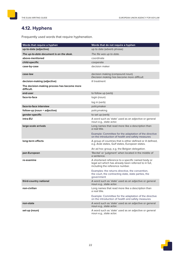## <span id="page-23-0"></span>**4.12. Hyphens**

Frequently used words that require hyphenation.

| Words that require a hyphen                               | Words that do not require a hyphen                                                                                                            |
|-----------------------------------------------------------|-----------------------------------------------------------------------------------------------------------------------------------------------|
| up-to-date (adjective)                                    | up to date (adverb phrase)                                                                                                                    |
| The up-to-date document is on the desk.                   | The file was up to date.                                                                                                                      |
| above-mentioned                                           | coordinate                                                                                                                                    |
| child-specific                                            | cooperate                                                                                                                                     |
| case-by-case                                              | decision maker                                                                                                                                |
| case-law                                                  | decision making (compound noun)<br>Decision making has become more difficult.                                                                 |
| decision-making (adjective)                               | ill treatment                                                                                                                                 |
| The decision-making process has become more<br>difficult. |                                                                                                                                               |
| end-user                                                  | to follow up (verb)                                                                                                                           |
| face-to-face                                              | login (noun)                                                                                                                                  |
|                                                           | log in (verb)                                                                                                                                 |
| face-to-face interview                                    | policymaker                                                                                                                                   |
| follow-up (noun + adjective)                              | policymaking                                                                                                                                  |
| gender-specific                                           | to set up (verb)                                                                                                                              |
| intra-EU                                                  | A word such as 'state' used as an adjective or general<br>noun e.g., state actor.                                                             |
| large-scale arrivals                                      | Long names that read more like a description than<br>a real title.                                                                            |
|                                                           | Example: Committee for the adaptation of the directive<br>on the introduction of health and safety measures                                   |
| long-term effects                                         | A group of countries that is either defined or ill defined,<br>e.g. Arab states, Gulf states, European states.                                |
|                                                           | An ad hoc group, e.g. the Belgian delegation.                                                                                                 |
| pan-European                                              | 'Recital' or 'judgment' when located in the middle of<br>a sentence.                                                                          |
| re-examine                                                | A shortened reference to a specific named body or<br>legal act which has already been referred to in full,<br>including the reference number. |
|                                                           | Examples: the returns directive, the convention,<br>the court, the contracting state, state parties, the<br>government                        |
| third-country national                                    | A word such as 'state' used as an adjective or general<br>noun e.g., state actor.                                                             |
| non-civilian                                              | Long names that read more like a description than<br>a real title.                                                                            |
|                                                           | Example: Committee for the adaptation of the directive<br>on the introduction of health and safety measures                                   |
| non-state                                                 | A word such as 'state' used as an adjective or general<br>noun e.g., state actor.                                                             |
| set-up (noun)                                             | A word such as 'state' used as an adjective or general<br>noun e.g., state actor.                                                             |

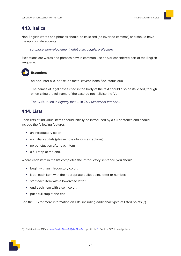## <span id="page-24-0"></span>**4.13. Italics**

Non-English words and phrases should be italicised (no inverted commas) and should have the appropriate accents.

sur place, non-refoulement, effet utile, acquis, préfecture

Exceptions are words and phrases now in common use and/or considered part of the English language.



**Exceptions**

ad hoc, inter alia, per se, de facto, caveat, bona fide, status quo

The names of legal cases cited in the body of the text should also be italicised, though when citing the full name of the case do not italicise the 'v'.

The CJEU ruled in Elgafaji that ..., in TA v Ministry of Interior ...

## **4.14. Lists**

Short lists of individual items should initially be introduced by a full sentence and should include the following features:

- an introductory colon
- no initial capitals (please note obvious exceptions)
- no punctuation after each item
- a full stop at the end.

Where each item in the list completes the introductory sentence, you should:

- begin with an introductory colon:
- label each item with the appropriate bullet point, letter or number;
- start each item with a lowercase letter;
- end each item with a semicolon:
- put a full stop at the end.

See the ISG for more information on lists, including additional types of listed points (<sup>17</sup>).

<sup>(&</sup>lt;sup>17</sup>) Publications Office, *[Interinstitutional Style Guide](https://publications.europa.eu/code/en/en-250700.htm)*, op. cit., fn. [1](#page-5-1), Section 5.7. 'Listed points'.

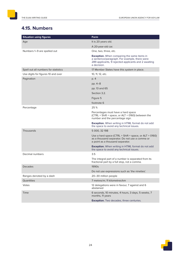## <span id="page-25-0"></span>**4.15. Numbers**

| <b>Situation using figures</b>       | Form                                                                                                                                                                |
|--------------------------------------|---------------------------------------------------------------------------------------------------------------------------------------------------------------------|
| Age                                  | It is 20 years old.                                                                                                                                                 |
|                                      | A 20-year-old car.                                                                                                                                                  |
| Numbers 1-9 are spelled out          | One, two, three, etc.                                                                                                                                               |
|                                      | Exception. When comparing the same items in<br>a sentence/paragraph. For example, there were<br>289 applicants, 9 rejected applicants and 2 awaiting<br>a decision. |
| Spell out all numbers for statistics | 17 Member States have this system in place.                                                                                                                         |
| Use digits for figures 10 and over   | 10, 11, 12, etc.                                                                                                                                                    |
| Pagination                           | p. 4                                                                                                                                                                |
|                                      | pp. 4–8                                                                                                                                                             |
|                                      | pp. 13 and 65                                                                                                                                                       |
|                                      | Section 3.2.                                                                                                                                                        |
|                                      | Figure 5                                                                                                                                                            |
|                                      | footnote 6                                                                                                                                                          |
| Percentage                           | 25 %                                                                                                                                                                |
|                                      | Percentages must have a hard space<br>(CTRL + Shift + space, or ALT + 0160) between the<br>number and the percentage sign.                                          |
|                                      | <b>Exception.</b> When writing in HTML format do not add<br>the space to avoid any technical issues.                                                                |
| Thousands                            | 5 000, 32 198                                                                                                                                                       |
|                                      | Use a hard space (CTRL $+$ Shift $+$ space, or ALT $+$ 0160)<br>as a thousand separator. Do not use a comma or<br>a point as a thousand separator.                  |
|                                      | <b>Exception.</b> When writing in HTML format do not add<br>the space to avoid any technical issues.                                                                |
| Decimal numbers                      | 3.5                                                                                                                                                                 |
|                                      | The integral part of a number is separated from its<br>fractional part by a full stop, not a comma.                                                                 |
| Decades                              | 1990s                                                                                                                                                               |
|                                      | Do not use expressions such as 'the nineties'.                                                                                                                      |
| Ranges denoted by a dash             | 20-30 million people                                                                                                                                                |
| Quantities                           | 7 metres/m; 11 kilometres/km                                                                                                                                        |
| Votes                                | 12 delegations were in favour, 7 against and 6<br>abstained                                                                                                         |
| Time                                 | 6 seconds, 10 minutes, 4 hours, 3 days, 5 weeks, 7<br>months, 11 years                                                                                              |
|                                      | Exception. Two decades, three centuries.                                                                                                                            |

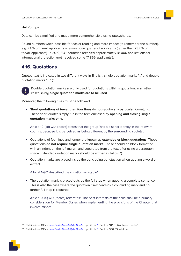#### <span id="page-26-0"></span>**Helpful tips**

Data can be simplified and made more comprehensible using rates/shares.

Round numbers when possible for easier reading and more impact (to remember the number), e.g. 24 % of the/all applicants or almost one quarter of applicants (rather than 23.7 % of the/all applicants). In 2019, EU+ countries received approximately 18 000 applications for international protection (not 'received some 17 865 applicants').

## **4.16. Quotations**

Quoted text is indicated in two different ways in English: single quotation marks **'…'** and double quotation marks **"…"** (<sup>18</sup>).



Double quotation marks are only used for quotations within a quotation; in all other cases, **curly, single quotation marks are to be used**.

Moreover, the following rules must be followed.

• **Short quotations of fewer than four lines** do not require any particular formatting. These short quotes simply run in the text, enclosed by **opening and closing single quotation marks only**.

Article 10(1)(d) QD (recast) states that the group 'has a distinct identity in the relevant country, because it is perceived as being different by the surrounding society'.

- Quotations of four lines and longer are known as **extended or block quotations**. These quotations **do not require single quotation marks**. These should be block formatted with an indent on the left margin and separated from the text after using a paragraph space. Extended quotation marks should be written in italics (<sup>19</sup>).
- Quotation marks are placed inside the concluding punctuation when quoting a word or extract.

A local NGO described the situation as 'stable'.

• The quotation mark is placed outside the full stop when quoting a complete sentence. This is also the case where the quotation itself contains a concluding mark and no further full stop is required.

Article 20(5) QD (recast) reiterates: 'The best interests of the child shall be a primary consideration for Member States when implementing the provisions of the Chapter that involve minors.'

<sup>(&</sup>lt;sup>19</sup>) Publications Office, *[Interinstitutional Style Guide](https://publications.europa.eu/code/en/en-4100109en.htm)*, op. cit., fn. [1](#page-5-1), Section 5.10. '[Quotation'](https://publications.europa.eu/code/en/en-251000.htm).



<sup>(&</sup>lt;sup>18</sup>) Publications Office, [Interinstitutional Style Guide](https://publications.europa.eu/code/en/en-4100109en.htm), op. cit., fn. [1](#page-5-1), Section 10.1.9. 'Quotation marks'.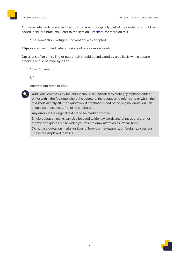Additional elements and specifications that are not originally part of the quotation should be added in square brackets. Refer to the section ['Brackets'](#page-21-1) for more on this.

'The convention [Refugee Convention] was adopted.'

**Ellipses** are used to indicate omissions of one or more words.

Omissions of an entire line or paragraph should be indicated by an ellipsis within square brackets and separated by a line.

'The Convention

[…]

entered into force in 1953.'



Additional emphasis by the author should be indicated by stating '(emphasis added)' either within the footnote where the source of the quotation is referred to or within the text itself, directly after the quotation. If emphasis is part of the original quotation, this should be indicated as '(original emphasis)'.

Any errors in the original text are to be marked with [sic].

Single quotation marks can also be used to identify words and phrases that are not themselves quotes but to which you wish to draw attention as lexical items.

Do not use quotation marks for titles of books or newspapers, or foreign expressions. These are displayed in italics.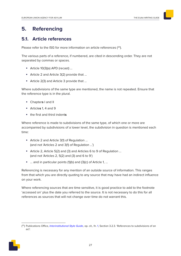## <span id="page-28-0"></span>**5. Referencing**

## **5.1. Article references**

Please refer to the ISG for more information on article references  $(^{20})$ .

The various parts of a reference, if numbered, are cited in descending order. They are not separated by commas or spaces.

- Article 10(3)(a) APD (recast) …
- Article 2 and Article 3(2) provide that …
- Article 2(3) and Article 3 provide that …

Where subdivisions of the same type are mentioned, the name is not repeated. Ensure that the reference type is in the plural.

- Chapter**s** I and II
- Article**s** 1, 4 and 9
- the first and third indent**<sup>s</sup>**

Where reference is made to subdivisions of the same type, of which one or more are accompanied by subdivisions of a lower level, the subdivision in question is mentioned each time:

- Article 2 and Article 3(1) of Regulation … (and not 'Articles 2 and 3(1) of Regulation …')
- Article 2, Article 5(2) and (3) and Articles 6 to 9 of Regulation … (and not 'Articles 2, 5(2) and (3) and 6 to 9')
- ... and in particular points (1)(b) and (3)(c) of Article 1, ...

Referencing is necessary for any mention of an outside source of information. This ranges from that which you are directly quoting to any source that may have had an indirect influence on your work.

Where referencing sources that are time sensitive, it is good practice to add to the footnote 'accessed on' plus the date you referred to the source. It is not necessary to do this for all references as sources that will not change over time do not warrant this.

 $(2^{\circ})$  Publications Office, [Interinstitutional Style Guide](http://publications.europa.eu/code/en/en-130203.htm), op. cit., fn. [1](#page-5-1), Section 3.2.3. 'References to subdivisions of an act'.

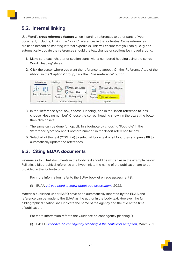## <span id="page-29-0"></span>**5.2. Internal linking**

Use Word's **cross reference feature** when inserting references to other parts of your document, including linking the 'op. cit.' references in the footnotes. Cross references are used instead of inserting internal hyperlinks. This will ensure that you can quickly and automatically update the references should the text change or sections be moved around.

- 1. Make sure each chapter or section starts with a numbered heading using the correct Word 'Heading' styles.
- 2. Click the curser where you want the reference to appear. On the 'References' tab of the ribbon, in the 'Captions' group, click the 'Cross-reference' button.



- 3. In the 'Reference type' box, choose 'Heading', and in the 'Insert reference to' box, choose 'Heading number'. Choose the correct heading shown in the box at the bottom then click 'Insert'.
- 4. The same can be done for 'op. cit.' in a footnote by choosing 'Footnote' in the 'Reference type' box and 'Footnote number' in the 'Insert reference to' box.
- 5. Select all of the text (CTRL + A) to select all body text or all footnotes and press **F9** to automatically update the references.

## **5.3. Citing EUAA documents**

References to EUAA documents in the body text should be written as in the example below. Full title, bibliographical reference and hyperlink to the name of the publication are to be provided in the footnote only.

For more information, refer to the EUAA booklet on age assessment (').

(1) EUAA, [All you need to know about age assessment](https://euaa.europa.eu/sites/default/files/publications/2022-01/2022_Booklet_Age_assessment_children_EN.pdf), 2022.

Materials published under EASO have been automatically inherited by the EUAA and reference can be made to the EUAA as the author in the body text. However, the full bibliographical citation shall indicate the name of the agency and the title at the time of publication.

For more information refer to the Guidance on contingency planning (').

(1) EASO, [Guidance on contingency planning](https://easo.europa.eu/sites/default/files/easo-guidance-contingency-planning-2018.pdf) in the context of reception, March 2018.

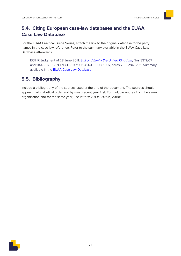## <span id="page-30-0"></span>**5.4. Citing European case-law databases and the EUAA Case Law Database**

For the EUAA Practical Guide Series, attach the link to the original database to the party names in the case law reference. Refer to the summary available in the EUAA Case Law Database afterwards.

<span id="page-30-1"></span>ECthR, judgment of 28 June 2011, Sufi and Elmi v [the United Kingdom](https://eur03.safelinks.protection.outlook.com/?url=https%3A%2F%2Fhudoc.echr.coe.int%2Feng%23%257B%2522itemid%2522%3A%5B%2522001-105434%2522%5D%257D&data=04%7C01%7C%7Cfcd147d5d6154e1bccdc08d91a9b3ea9%7Cd19e4243f4804af5889971f10798d806%7C0%7C0%7C637570076337126795%7CUnknown%7CTWFpbGZsb3d8eyJWIjoiMC4wLjAwMDAiLCJQIjoiV2luMzIiLCJBTiI6Ik1haWwiLCJXVCI6Mn0%3D%7C1000&sdata=GoT97eIgLjNgk40%2FwG%2BtvKNllAqFJ1Z5frJDYlee5PE%3D&reserved=0), Nos 8319/07 and 11449/07, ECLI:CE:EChR:2011:0628JUD000831907, paras 283, 294, 295. Summary available in the [EUAA Case Law Database.](https://caselaw.easo.europa.eu/pages/viewcaselaw.aspx?CaseLawID=1682)

## **5.5. Bibliography**

Include a bibliography of the sources used at the end of the document. The sources should appear in alphabetical order and by most recent year first. For multiple entries from the same organisation and for the same year, use letters: 2019a, 2019b, 2019c.

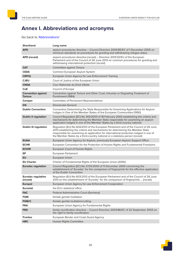## <span id="page-31-1"></span><span id="page-31-0"></span>**Annex I. Abbreviations and acronyms**

Go back to ['Abbreviations'](#page-19-1)

| <b>Shorthand</b>                            | Long name                                                                                                                                                                                                                                                                                                                                        |
|---------------------------------------------|--------------------------------------------------------------------------------------------------------------------------------------------------------------------------------------------------------------------------------------------------------------------------------------------------------------------------------------------------|
| <b>APD</b>                                  | asylum procedures directive - Council Directive 2005/85/EC of 1 December 2005 on<br>minimum standards on procedures for granting and withdrawing refugee status                                                                                                                                                                                  |
| <b>APD (recast)</b>                         | asylum procedures directive (recast) – Directive 2013/32/EU of the European<br>Parliament and of the Council of 26 June 2013 on common procedures for granting and<br>withdrawing international protection (recast)                                                                                                                              |
| <b>CAT</b>                                  | Committee against Torture                                                                                                                                                                                                                                                                                                                        |
| <b>CEAS</b>                                 | Common European Asylum System                                                                                                                                                                                                                                                                                                                    |
| <b>CEPOL</b>                                | European Union Agency for Law Enforcement Training                                                                                                                                                                                                                                                                                               |
| <b>CJEU</b>                                 | Court of Justice of the European Union                                                                                                                                                                                                                                                                                                           |
| <b>CNDA</b>                                 | Cour Nationale du Droit d'Asile                                                                                                                                                                                                                                                                                                                  |
| CoE                                         | Council of Europe                                                                                                                                                                                                                                                                                                                                |
| <b>Convention against</b><br><b>Torture</b> | Convention against Torture and Other Cruel, Inhuman or Degrading Treatment of<br>Punishment (1984)                                                                                                                                                                                                                                               |
| Coreper                                     | <b>Committee of Permanent Representatives</b>                                                                                                                                                                                                                                                                                                    |
| <b>DG</b>                                   | Directorate-General                                                                                                                                                                                                                                                                                                                              |
| <b>Dublin Convention</b>                    | Convention Determining the State Responsible for Examining Applications for Asylum<br>Lodges in One of the Member States of the European Communities (1990)                                                                                                                                                                                      |
| <b>Dublin II regulation</b>                 | Council Regulation (EC) No 343/2003 of 18 February 2003 establishing the criteria and<br>mechanisms for determining the Member State responsible for examining an asylum<br>application lodged in one of the Member States by a third-country national                                                                                           |
| <b>Dublin III regulation</b>                | Regulation (EU) No 604/2013 of the European Parliament and of the Council of 26 June<br>2013 establishing the criteria and mechanisms for determining the Member State<br>responsible for examining an application for international protection lodged in one of<br>the Member States by a third-country national or a stateless person (recast) |
| <b>EUAA</b>                                 | European Union Agency for Asylum, previously European Asylum Support Office                                                                                                                                                                                                                                                                      |
| <b>ECHR</b>                                 | European Convention for the Protection of Human Rights and Fundamental Freedoms                                                                                                                                                                                                                                                                  |
| <b>ECtHR</b>                                | European Court of Human Rights                                                                                                                                                                                                                                                                                                                   |
| EP                                          | European Parliament                                                                                                                                                                                                                                                                                                                              |
| EU                                          | European Union                                                                                                                                                                                                                                                                                                                                   |
| <b>EU Charter</b>                           | Charter of Fundamental Rights of the European Union (2000)                                                                                                                                                                                                                                                                                       |
| <b>Eurodac regulation</b>                   | Council Regulation (EC) No 2725/2000 of 11 December 2000 concerning the<br>establishment of 'Eurodac' for the comparison of fingerprints for the effective application<br>of the Dublin Convention                                                                                                                                               |
| <b>Eurodac regulation</b><br>(recast)       | Regulation (EU) No 603/2013 of the European Parliament and of the Council of 26 June<br>2013 on the establishment of 'Eurodac' for the comparison of fingerprints  (recast)                                                                                                                                                                      |
| <b>Europol</b>                              | European Union Agency for Law Enforcement Cooperation                                                                                                                                                                                                                                                                                            |
| <b>Eurostat</b>                             | the EU's statistical office                                                                                                                                                                                                                                                                                                                      |
| <b>FAC</b>                                  | Federal Administrative Court (Germany)                                                                                                                                                                                                                                                                                                           |
| <b>FGM</b>                                  | female genital mutilation                                                                                                                                                                                                                                                                                                                        |
| <b>FGM/C</b>                                | female genital mutilation/cutting                                                                                                                                                                                                                                                                                                                |
| <b>FRA</b>                                  | European Union Agency for Fundamental Rights                                                                                                                                                                                                                                                                                                     |
| <b>FRD</b>                                  | family reunification directive - Council Directive 2003/86/EC of 22 September 2003 on<br>the right to family reunification                                                                                                                                                                                                                       |
| <b>Frontex</b>                              | European Border and Coast Guard Agency                                                                                                                                                                                                                                                                                                           |
| <b>HRC</b>                                  | Human Rights Committee                                                                                                                                                                                                                                                                                                                           |

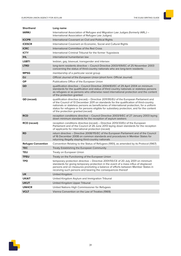| <b>Shorthand</b>          | Long name                                                                                                                                                                                                                                                                                                                                                                                                          |
|---------------------------|--------------------------------------------------------------------------------------------------------------------------------------------------------------------------------------------------------------------------------------------------------------------------------------------------------------------------------------------------------------------------------------------------------------------|
| <b>LNRAI</b>              | International Association of Refugee and Migration Law Judges (formerly IARLJ -<br>International Association of Refugee Law Judges)                                                                                                                                                                                                                                                                                |
| <b>ICCPR</b>              | International Covenant on Civil and Political Rights                                                                                                                                                                                                                                                                                                                                                               |
| <b>ICESCR</b>             | International Covenant on Economic, Social and Cultural Rights                                                                                                                                                                                                                                                                                                                                                     |
| <b>ICRC</b>               | International Committee of the Red Cross                                                                                                                                                                                                                                                                                                                                                                           |
| <b>ICTY</b>               | International Criminal Tribunal for the former Yugoslavia                                                                                                                                                                                                                                                                                                                                                          |
| <b>IHL</b>                | international humanitarian law                                                                                                                                                                                                                                                                                                                                                                                     |
| <b>LGBTI</b>              | lesbian, gay, bisexual, transgender and intersex                                                                                                                                                                                                                                                                                                                                                                   |
| <b>LTRD</b>               | long-term residents directive - Council Directive 2003/109/EC of 25 November 2003<br>concerning the status of third-country nationals who are long-term residents                                                                                                                                                                                                                                                  |
| <b>MPSG</b>               | membership of a particular social group                                                                                                                                                                                                                                                                                                                                                                            |
| <b>OJ</b>                 | Official Journal of the European Union (short form: Official Journal)                                                                                                                                                                                                                                                                                                                                              |
| <b>OP</b>                 | Publications Office of the European Union                                                                                                                                                                                                                                                                                                                                                                          |
| QD                        | qualification directive – Council Directive 2004/83/EC of 29 April 2004 on minimum<br>standards for the qualification and status of third country nationals or stateless persons<br>as refugees or as persons who otherwise need international protection and the content<br>of the protection granted                                                                                                             |
| <b>QD</b> (recast)        | qualification directive (recast) - Directive 2011/95/EU of the European Parliament and<br>of the Council of 13 December 2011 on standards for the qualification of third-country<br>nationals or stateless persons as beneficiaries of international protection, for a uniform<br>status for refugees or for persons eligible for subsidiary protection, and for the content<br>of the protection granted (recast) |
| <b>RCD</b>                | reception conditions directive – Council Directive 2003/9/EC of 27 January 2003 laying<br>down minimum standards for the reception of asylum seekers                                                                                                                                                                                                                                                               |
| <b>RCD</b> (recast)       | reception conditions directive (recast) - Directive 2013/33/EU of the European<br>Parliament and of the Council of 26 June 2013 laying down standards for the reception<br>of applicants for international protection (recast)                                                                                                                                                                                     |
| <b>RD</b>                 | return directive – Directive 2008/115/EC of the European Parliament and of the Council<br>of 16 December 2008 on common standards and procedures in Member States for<br>returning illegally staying third-country nationals                                                                                                                                                                                       |
| <b>Refugee Convention</b> | Convention Relating to the Status of Refugees (1951), as amended by its Protocol (1967)                                                                                                                                                                                                                                                                                                                            |
| TEC                       | Treaty Establishing the European Community                                                                                                                                                                                                                                                                                                                                                                         |
| TEU                       | Treaty on European Union                                                                                                                                                                                                                                                                                                                                                                                           |
| <b>TFEU</b>               | Treaty on the Functioning of the European Union                                                                                                                                                                                                                                                                                                                                                                    |
| TPD                       | temporary protection directive - Directive 2001/55/CE of 20 July 2001 on minimum<br>standards for giving temporary protection in the event of a mass influx of displaced<br>persons and on measures promoting a balance of efforts between Member States in<br>receiving such persons and bearing the consequences thereof                                                                                         |
| <b>UK</b>                 | <b>United Kingdom</b>                                                                                                                                                                                                                                                                                                                                                                                              |
| <b>UKAIT</b>              | United Kingdom Asylum and Immigration Tribunal                                                                                                                                                                                                                                                                                                                                                                     |
| <b>UKUT</b>               | United Kingdom Upper Tribunal                                                                                                                                                                                                                                                                                                                                                                                      |
| <b>UNHCR</b>              | United Nations High Commissioner for Refugees                                                                                                                                                                                                                                                                                                                                                                      |
| <b>VCLT</b>               | Vienna Convention on the Law of Treaties (1969)                                                                                                                                                                                                                                                                                                                                                                    |

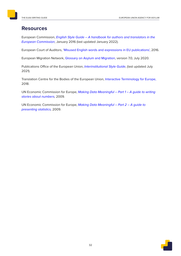## <span id="page-33-0"></span>**Resources**

European Commission, [English Style Guide – A handbook for authors and translators in the](https://ec.europa.eu/info/sites/info/files/styleguide_english_dgt_en.pdf)  [European Commission](https://ec.europa.eu/info/sites/info/files/styleguide_english_dgt_en.pdf), January 2016 (last updated January 2022).

European Court of Auditors, ['Misused English words and expressions in EU publications'](https://www.eca.europa.eu/Other publications/EN_TERMINOLOGY_PUBLICATION/EN_TERMINOLOGY_PUBLICATION.pdf), 2016.

European Migration Network, [Glossary on Asylum and Migration](https://ec.europa.eu/home-affairs/networks/european-migration-network-emn/emn-glossary_en), version 7.0, July 2020.

Publications Office of the European Union, [Interinstitutional Style Guide](http://publications.europa.eu/code/en/en-000500.htm), (last updated July 2021).

Translation Centre for the Bodies of the European Union, [Interactive Terminology for Europe](https://iate.europa.eu/home), 2018.

UN Economic Commission for Europe, Making Data Meaningful - Part 1 - A guide to writing [stories about numbers](https://www.unece.org/fileadmin/DAM/stats/documents/writing/MDM_Part1_English.pdf), 2009.

UN Economic Commission for Europe, Making Data Meaningful - Part 2 - A guide to [presenting statistics](http://www.unece.org/fileadmin/DAM/stats/documents/writing/MDM_Part2_English.pdf), 2009.